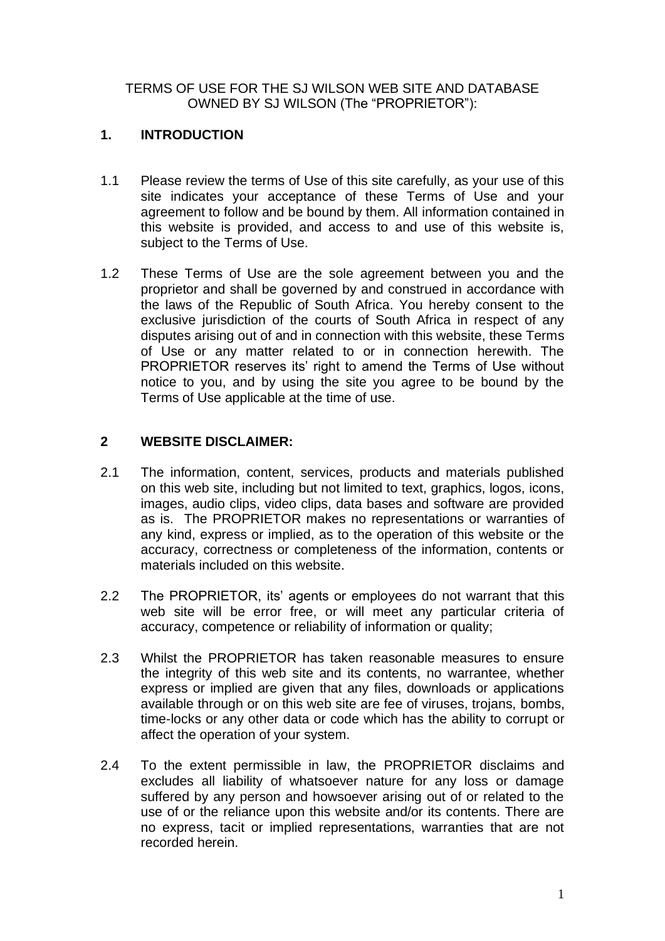TERMS OF USE FOR THE SJ WILSON WEB SITE AND DATABASE OWNED BY SJ WILSON (The "PROPRIETOR"):

# **1. INTRODUCTION**

- 1.1 Please review the terms of Use of this site carefully, as your use of this site indicates your acceptance of these Terms of Use and your agreement to follow and be bound by them. All information contained in this website is provided, and access to and use of this website is, subject to the Terms of Use.
- 1.2 These Terms of Use are the sole agreement between you and the proprietor and shall be governed by and construed in accordance with the laws of the Republic of South Africa. You hereby consent to the exclusive jurisdiction of the courts of South Africa in respect of any disputes arising out of and in connection with this website, these Terms of Use or any matter related to or in connection herewith. The PROPRIETOR reserves its' right to amend the Terms of Use without notice to you, and by using the site you agree to be bound by the Terms of Use applicable at the time of use.

## **2 WEBSITE DISCLAIMER:**

- 2.1 The information, content, services, products and materials published on this web site, including but not limited to text, graphics, logos, icons, images, audio clips, video clips, data bases and software are provided as is. The PROPRIETOR makes no representations or warranties of any kind, express or implied, as to the operation of this website or the accuracy, correctness or completeness of the information, contents or materials included on this website.
- 2.2 The PROPRIETOR, its' agents or employees do not warrant that this web site will be error free, or will meet any particular criteria of accuracy, competence or reliability of information or quality;
- 2.3 Whilst the PROPRIETOR has taken reasonable measures to ensure the integrity of this web site and its contents, no warrantee, whether express or implied are given that any files, downloads or applications available through or on this web site are fee of viruses, trojans, bombs, time-locks or any other data or code which has the ability to corrupt or affect the operation of your system.
- 2.4 To the extent permissible in law, the PROPRIETOR disclaims and excludes all liability of whatsoever nature for any loss or damage suffered by any person and howsoever arising out of or related to the use of or the reliance upon this website and/or its contents. There are no express, tacit or implied representations, warranties that are not recorded herein.